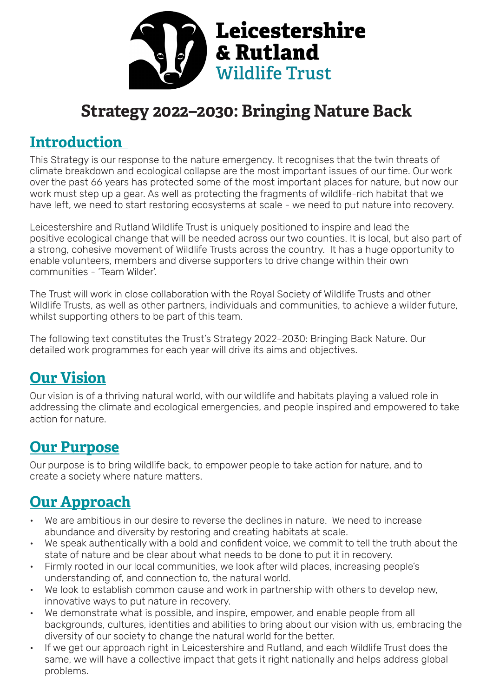

## **Strategy 2022–2030: Bringing Nature Back**

#### **Introduction**

This Strategy is our response to the nature emergency. It recognises that the twin threats of climate breakdown and ecological collapse are the most important issues of our time. Our work over the past 66 years has protected some of the most important places for nature, but now our work must step up a gear. As well as protecting the fragments of wildlife-rich habitat that we have left, we need to start restoring ecosystems at scale - we need to put nature into recovery.

Leicestershire and Rutland Wildlife Trust is uniquely positioned to inspire and lead the positive ecological change that will be needed across our two counties. It is local, but also part of a strong, cohesive movement of Wildlife Trusts across the country. It has a huge opportunity to enable volunteers, members and diverse supporters to drive change within their own communities - 'Team Wilder'.

The Trust will work in close collaboration with the Royal Society of Wildlife Trusts and other Wildlife Trusts, as well as other partners, individuals and communities, to achieve a wilder future, whilst supporting others to be part of this team.

The following text constitutes the Trust's Strategy 2022–2030: Bringing Back Nature. Our detailed work programmes for each year will drive its aims and objectives.

### **Our Vision**

Our vision is of a thriving natural world, with our wildlife and habitats playing a valued role in addressing the climate and ecological emergencies, and people inspired and empowered to take action for nature.

#### **Our Purpose**

Our purpose is to bring wildlife back, to empower people to take action for nature, and to create a society where nature matters.

### **Our Approach**

- We are ambitious in our desire to reverse the declines in nature. We need to increase abundance and diversity by restoring and creating habitats at scale.
- We speak authentically with a bold and confident voice, we commit to tell the truth about the state of nature and be clear about what needs to be done to put it in recovery.
- Firmly rooted in our local communities, we look after wild places, increasing people's understanding of, and connection to, the natural world.
- We look to establish common cause and work in partnership with others to develop new, innovative ways to put nature in recovery.
- We demonstrate what is possible, and inspire, empower, and enable people from all backgrounds, cultures, identities and abilities to bring about our vision with us, embracing the diversity of our society to change the natural world for the better.
- If we get our approach right in Leicestershire and Rutland, and each Wildlife Trust does the same, we will have a collective impact that gets it right nationally and helps address global problems.